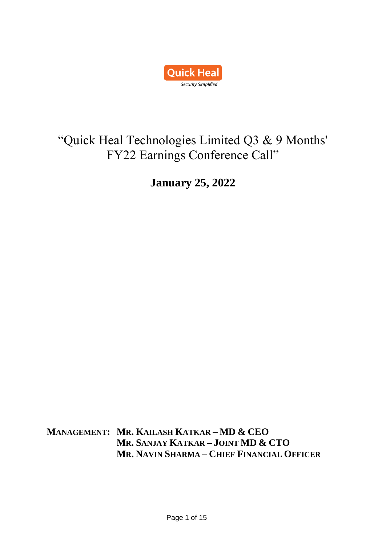

# "Quick Heal Technologies Limited Q3 & 9 Months' FY22 Earnings Conference Call"

**January 25, 2022**

**MANAGEMENT: MR. KAILASH KATKAR – MD & CEO MR. SANJAY KATKAR – JOINT MD & CTO MR. NAVIN SHARMA – CHIEF FINANCIAL OFFICER**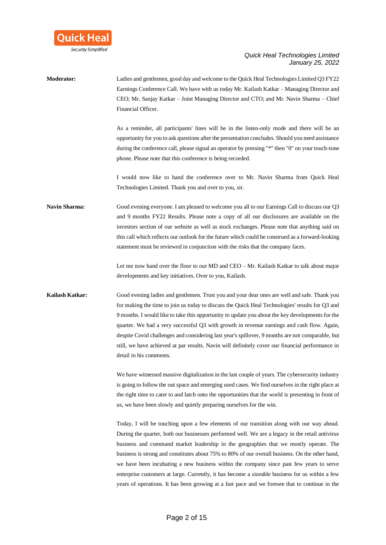

**Moderator:** Ladies and gentlemen, good day and welcome to the Quick Heal Technologies Limited Q3 FY22 Earnings Conference Call. We have with us today Mr. Kailash Katkar – Managing Director and CEO; Mr. Sanjay Katkar – Joint Managing Director and CTO; and Mr. Navin Sharma – Chief Financial Officer. As a reminder, all participants' lines will be in the listen-only mode and there will be an opportunity for you to ask questions after the presentation concludes. Should you need assistance during the conference call, please signal an operator by pressing "\*" then "0" on your touch-tone phone. Please note that this conference is being recorded. I would now like to hand the conference over to Mr. Navin Sharma from Quick Heal Technologies Limited. Thank you and over to you, sir. **Navin Sharma:** Good evening everyone. I am pleased to welcome you all to our Earnings Call to discuss our Q3 and 9 months FY22 Results. Please note a copy of all our disclosures are available on the investors section of our website as well as stock exchanges. Please note that anything said on this call which reflects our outlook for the future which could be construed as a forward-looking statement must be reviewed in conjunction with the risks that the company faces. Let me now hand over the floor to our MD and CEO – Mr. Kailash Katkar to talk about major developments and key initiatives. Over to you, Kailash. **Kailash Katkar:** Good evening ladies and gentlemen. Trust you and your dear ones are well and safe. Thank you for making the time to join us today to discuss the Quick Heal Technologies' results for Q3 and 9 months. I would like to take this opportunity to update you about the key developments for the quarter. We had a very successful Q3 with growth in revenue earnings and cash flow. Again, despite Covid challenges and considering last year's spillover, 9 months are not comparable, but still, we have achieved at par results. Navin will definitely cover our financial performance in detail in his comments. We have witnessed massive digitalization in the last couple of years. The cybersecurity industry is going to follow the out space and emerging used cases. We find ourselves in the right place at the right time to cater to and latch onto the opportunities that the world is presenting in front of us, we have been slowly and quietly preparing ourselves for the win. Today, I will be touching upon a few elements of our transition along with our way ahead. During the quarter, both our businesses performed well. We are a legacy in the retail antivirus business and command market leadership in the geographies that we mostly operate. The business is strong and constitutes about 75% to 80% of our overall business. On the other hand, we have been incubating a new business within the company since past few years to serve enterprise customers at large. Currently, it has become a sizeable business for us within a few years of operations. It has been growing at a fast pace and we foresee that to continue in the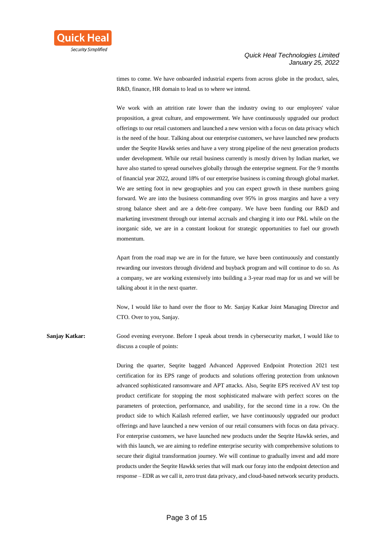

times to come. We have onboarded industrial experts from across globe in the product, sales, R&D, finance, HR domain to lead us to where we intend.

We work with an attrition rate lower than the industry owing to our employees' value proposition, a great culture, and empowerment. We have continuously upgraded our product offerings to our retail customers and launched a new version with a focus on data privacy which is the need of the hour. Talking about our enterprise customers, we have launched new products under the Seqrite Hawkk series and have a very strong pipeline of the next generation products under development. While our retail business currently is mostly driven by Indian market, we have also started to spread ourselves globally through the enterprise segment. For the 9 months of financial year 2022, around 18% of our enterprise business is coming through global market. We are setting foot in new geographies and you can expect growth in these numbers going forward. We are into the business commanding over 95% in gross margins and have a very strong balance sheet and are a debt-free company. We have been funding our R&D and marketing investment through our internal accruals and charging it into our P&L while on the inorganic side, we are in a constant lookout for strategic opportunities to fuel our growth momentum.

Apart from the road map we are in for the future, we have been continuously and constantly rewarding our investors through dividend and buyback program and will continue to do so. As a company, we are working extensively into building a 3-year road map for us and we will be talking about it in the next quarter.

Now, I would like to hand over the floor to Mr. Sanjay Katkar Joint Managing Director and CTO. Over to you, Sanjay.

**Sanjay Katkar:** Good evening everyone. Before I speak about trends in cybersecurity market, I would like to discuss a couple of points:

> During the quarter, Seqrite bagged Advanced Approved Endpoint Protection 2021 test certification for its EPS range of products and solutions offering protection from unknown advanced sophisticated ransomware and APT attacks. Also, Seqrite EPS received AV test top product certificate for stopping the most sophisticated malware with perfect scores on the parameters of protection, performance, and usability, for the second time in a row. On the product side to which Kailash referred earlier, we have continuously upgraded our product offerings and have launched a new version of our retail consumers with focus on data privacy. For enterprise customers, we have launched new products under the Seqrite Hawkk series, and with this launch, we are aiming to redefine enterprise security with comprehensive solutions to secure their digital transformation journey. We will continue to gradually invest and add more products under the Seqrite Hawkk series that will mark our foray into the endpoint detection and response – EDR as we call it, zero trust data privacy, and cloud-based network security products.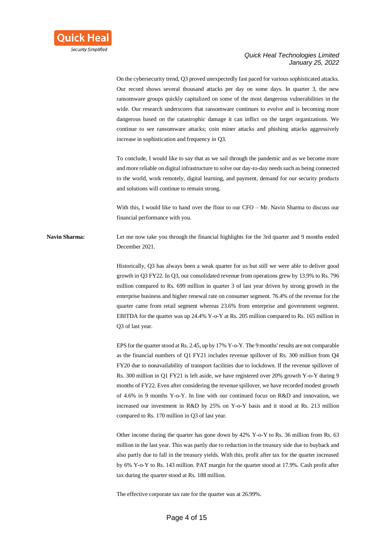

On the cybersecurity trend, Q3 proved unexpectedly fast paced for various sophisticated attacks. Our record shows several thousand attacks per day on some days. In quarter 3, the new ransomware groups quickly capitalized on some of the most dangerous vulnerabilities in the wide. Our research underscores that ransomware continues to evolve and is becoming more dangerous based on the catastrophic damage it can inflict on the target organizations. We continue to see ransomware attacks; coin miner attacks and phishing attacks aggressively increase in sophistication and frequency in Q3.

To conclude, I would like to say that as we sail through the pandemic and as we become more and more reliable on digital infrastructure to solve our day-to-day needs such as being connected to the world, work remotely, digital learning, and payment, demand for our security products and solutions will continue to remain strong.

With this, I would like to hand over the floor to our CFO – Mr. Navin Sharma to discuss our financial performance with you.

**Navin Sharma:** Let me now take you through the financial highlights for the 3rd quarter and 9 months ended December 2021.

> Historically, Q3 has always been a weak quarter for us but still we were able to deliver good growth in Q3 FY22. In Q3, our consolidated revenue from operations grew by 13.9% to Rs. 796 million compared to Rs. 699 million in quarter 3 of last year driven by strong growth in the enterprise business and higher renewal rate on consumer segment. 76.4% of the revenue for the quarter came from retail segment whereas 23.6% from enterprise and government segment. EBITDA for the quarter was up 24.4% Y-o-Y at Rs. 205 million compared to Rs. 165 million in Q3 of last year.

> EPS for the quarter stood at Rs. 2.45, up by 17% Y-o-Y. The 9 months' results are not comparable as the financial numbers of Q1 FY21 includes revenue spillover of Rs. 300 million from Q4 FY20 due to nonavailability of transport facilities due to lockdown. If the revenue spillover of Rs. 300 million in Q1 FY21 is left aside, we have registered over 20% growth Y-o-Y during 9 months of FY22. Even after considering the revenue spillover, we have recorded modest growth of 4.6% in 9 months Y-o-Y. In line with our continued focus on R&D and innovation, we increased our investment in R&D by 25% on Y-o-Y basis and it stood at Rs. 213 million compared to Rs. 170 million in Q3 of last year.

> Other income during the quarter has gone down by 42% Y-o-Y to Rs. 36 million from Rs. 63 million in the last year. This was partly due to reduction in the treasury side due to buyback and also partly due to fall in the treasury yields. With this, profit after tax for the quarter increased by 6% Y-o-Y to Rs. 143 million. PAT margin for the quarter stood at 17.9%. Cash profit after tax during the quarter stood at Rs. 188 million.

The effective corporate tax rate for the quarter was at 26.99%.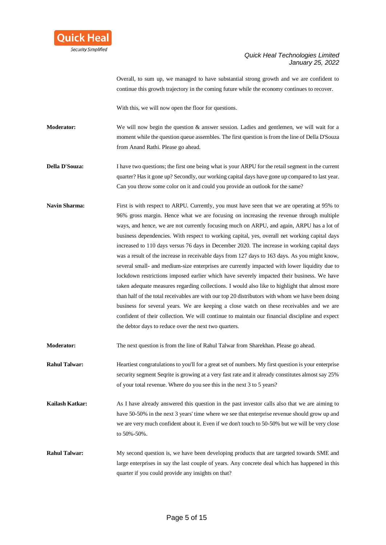

Overall, to sum up, we managed to have substantial strong growth and we are confident to continue this growth trajectory in the coming future while the economy continues to recover.

With this, we will now open the floor for questions.

**Moderator:** We will now begin the question & answer session. Ladies and gentlemen, we will wait for a moment while the question queue assembles. The first question is from the line of Della D'Souza from Anand Rathi. Please go ahead.

**Della D'Souza:** I have two questions; the first one being what is your ARPU for the retail segment in the current quarter? Has it gone up? Secondly, our working capital days have gone up compared to last year. Can you throw some color on it and could you provide an outlook for the same?

Navin Sharma: First is with respect to ARPU. Currently, you must have seen that we are operating at 95% to 96% gross margin. Hence what we are focusing on increasing the revenue through multiple ways, and hence, we are not currently focusing much on ARPU, and again, ARPU has a lot of business dependencies. With respect to working capital, yes, overall net working capital days increased to 110 days versus 76 days in December 2020. The increase in working capital days was a result of the increase in receivable days from 127 days to 163 days. As you might know, several small- and medium-size enterprises are currently impacted with lower liquidity due to lockdown restrictions imposed earlier which have severely impacted their business. We have taken adequate measures regarding collections. I would also like to highlight that almost more than half of the total receivables are with our top 20 distributors with whom we have been doing business for several years. We are keeping a close watch on these receivables and we are confident of their collection. We will continue to maintain our financial discipline and expect the debtor days to reduce over the next two quarters.

**Moderator:** The next question is from the line of Rahul Talwar from Sharekhan. Please go ahead.

- **Rahul Talwar:** Heartiest congratulations to you'll for a great set of numbers. My first question is your enterprise security segment Seqrite is growing at a very fast rate and it already constitutes almost say 25% of your total revenue. Where do you see this in the next 3 to 5 years?
- **Kailash Katkar:** As I have already answered this question in the past investor calls also that we are aiming to have 50-50% in the next 3 years' time where we see that enterprise revenue should grow up and we are very much confident about it. Even if we don't touch to 50-50% but we will be very close to 50%-50%.
- **Rahul Talwar:** My second question is, we have been developing products that are targeted towards SME and large enterprises in say the last couple of years. Any concrete deal which has happened in this quarter if you could provide any insights on that?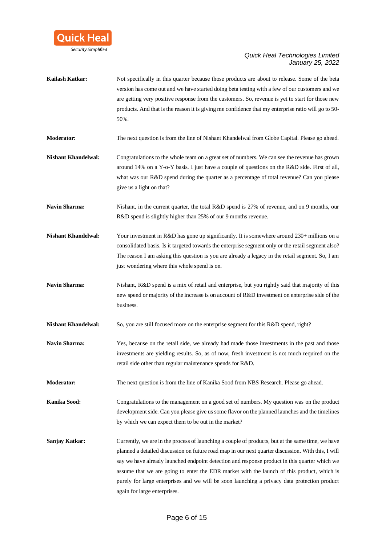

- **Kailash Katkar:** Not specifically in this quarter because those products are about to release. Some of the beta version has come out and we have started doing beta testing with a few of our customers and we are getting very positive response from the customers. So, revenue is yet to start for those new products. And that is the reason it is giving me confidence that my enterprise ratio will go to 50- 50%.
- **Moderator:** The next question is from the line of Nishant Khandelwal from Globe Capital. Please go ahead.
- **Nishant Khandelwal:** Congratulations to the whole team on a great set of numbers. We can see the revenue has grown around 14% on a Y-o-Y basis. I just have a couple of questions on the R&D side. First of all, what was our R&D spend during the quarter as a percentage of total revenue? Can you please give us a light on that?
- **Navin Sharma:** Nishant, in the current quarter, the total R&D spend is 27% of revenue, and on 9 months, our R&D spend is slightly higher than 25% of our 9 months revenue.
- **Nishant Khandelwal:** Your investment in R&D has gone up significantly. It is somewhere around 230+ millions on a consolidated basis. Is it targeted towards the enterprise segment only or the retail segment also? The reason I am asking this question is you are already a legacy in the retail segment. So, I am just wondering where this whole spend is on.
- **Navin Sharma:** Nishant, R&D spend is a mix of retail and enterprise, but you rightly said that majority of this new spend or majority of the increase is on account of R&D investment on enterprise side of the business.
- **Nishant Khandelwal:** So, you are still focused more on the enterprise segment for this R&D spend, right?
- **Navin Sharma:** Yes, because on the retail side, we already had made those investments in the past and those investments are yielding results. So, as of now, fresh investment is not much required on the retail side other than regular maintenance spends for R&D.
- **Moderator:** The next question is from the line of Kanika Sood from NBS Research. Please go ahead.
- **Kanika Sood:** Congratulations to the management on a good set of numbers. My question was on the product development side. Can you please give us some flavor on the planned launches and the timelines by which we can expect them to be out in the market?
- **Sanjay Katkar:** Currently, we are in the process of launching a couple of products, but at the same time, we have planned a detailed discussion on future road map in our next quarter discussion. With this, I will say we have already launched endpoint detection and response product in this quarter which we assume that we are going to enter the EDR market with the launch of this product, which is purely for large enterprises and we will be soon launching a privacy data protection product again for large enterprises.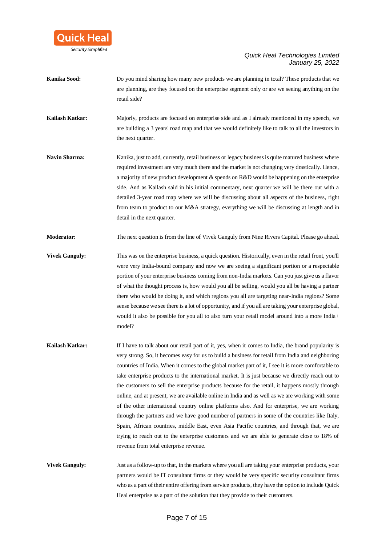

- **Kanika Sood:** Do you mind sharing how many new products we are planning in total? These products that we are planning, are they focused on the enterprise segment only or are we seeing anything on the retail side?
- **Kailash Katkar:** Majorly, products are focused on enterprise side and as I already mentioned in my speech, we are building a 3 years' road map and that we would definitely like to talk to all the investors in the next quarter.
- **Navin Sharma:** Kanika, just to add, currently, retail business or legacy business is quite matured business where required investment are very much there and the market is not changing very drastically. Hence, a majority of new product development & spends on R&D would be happening on the enterprise side. And as Kailash said in his initial commentary, next quarter we will be there out with a detailed 3-year road map where we will be discussing about all aspects of the business, right from team to product to our M&A strategy, everything we will be discussing at length and in detail in the next quarter.

**Moderator:** The next question is from the line of Vivek Ganguly from Nine Rivers Capital. Please go ahead.

- **Vivek Ganguly:** This was on the enterprise business, a quick question. Historically, even in the retail front, you'll were very India-bound company and now we are seeing a significant portion or a respectable portion of your enterprise business coming from non-India markets. Can you just give us a flavor of what the thought process is, how would you all be selling, would you all be having a partner there who would be doing it, and which regions you all are targeting near-India regions? Some sense because we see there is a lot of opportunity, and if you all are taking your enterprise global, would it also be possible for you all to also turn your retail model around into a more India+ model?
- **Kailash Katkar:** If I have to talk about our retail part of it, yes, when it comes to India, the brand popularity is very strong. So, it becomes easy for us to build a business for retail from India and neighboring countries of India. When it comes to the global market part of it, I see it is more comfortable to take enterprise products to the international market. It is just because we directly reach out to the customers to sell the enterprise products because for the retail, it happens mostly through online, and at present, we are available online in India and as well as we are working with some of the other international country online platforms also. And for enterprise, we are working through the partners and we have good number of partners in some of the countries like Italy, Spain, African countries, middle East, even Asia Pacific countries, and through that, we are trying to reach out to the enterprise customers and we are able to generate close to 18% of revenue from total enterprise revenue.
- **Vivek Ganguly:** Just as a follow-up to that, in the markets where you all are taking your enterprise products, your partners would be IT consultant firms or they would be very specific security consultant firms who as a part of their entire offering from service products, they have the option to include Quick Heal enterprise as a part of the solution that they provide to their customers.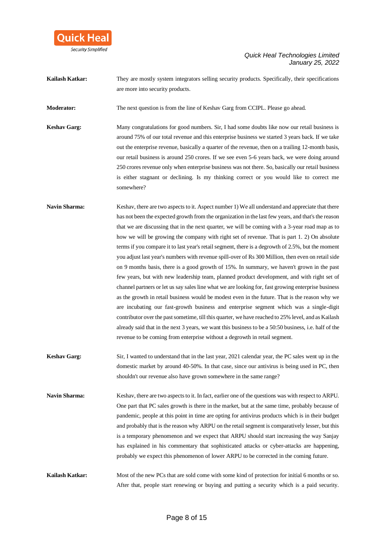

**Kailash Katkar:** They are mostly system integrators selling security products. Specifically, their specifications are more into security products.

**Moderator:** The next question is from the line of Keshav Garg from CCIPL. Please go ahead.

**Keshav Garg:** Many congratulations for good numbers. Sir, I had some doubts like now our retail business is around 75% of our total revenue and this enterprise business we started 3 years back. If we take out the enterprise revenue, basically a quarter of the revenue, then on a trailing 12-month basis, our retail business is around 250 crores. If we see even 5-6 years back, we were doing around 250 crores revenue only when enterprise business was not there. So, basically our retail business is either stagnant or declining. Is my thinking correct or you would like to correct me somewhere?

- **Navin Sharma:** Keshav, there are two aspects to it. Aspect number 1) We all understand and appreciate that there has not been the expected growth from the organization in the last few years, and that's the reason that we are discussing that in the next quarter, we will be coming with a 3-year road map as to how we will be growing the company with right set of revenue. That is part 1. 2) On absolute terms if you compare it to last year's retail segment, there is a degrowth of 2.5%, but the moment you adjust last year's numbers with revenue spill-over of Rs 300 Million, then even on retail side on 9 months basis, there is a good growth of 15%. In summary, we haven't grown in the past few years, but with new leadership team, planned product development, and with right set of channel partners or let us say sales line what we are looking for, fast growing enterprise business as the growth in retail business would be modest even in the future. That is the reason why we are incubating our fast-growth business and enterprise segment which was a single-digit contributor over the past sometime, till this quarter, we have reached to 25% level, and as Kailash already said that in the next 3 years, we want this business to be a 50:50 business, i.e. half of the revenue to be coming from enterprise without a degrowth in retail segment.
- **Keshav Garg:** Sir, I wanted to understand that in the last year, 2021 calendar year, the PC sales went up in the domestic market by around 40-50%. In that case, since our antivirus is being used in PC, then shouldn't our revenue also have grown somewhere in the same range?
- **Navin Sharma:** Keshav, there are two aspects to it. In fact, earlier one of the questions was with respect to ARPU. One part that PC sales growth is there in the market, but at the same time, probably because of pandemic, people at this point in time are opting for antivirus products which is in their budget and probably that is the reason why ARPU on the retail segment is comparatively lesser, but this is a temporary phenomenon and we expect that ARPU should start increasing the way Sanjay has explained in his commentary that sophisticated attacks or cyber-attacks are happening, probably we expect this phenomenon of lower ARPU to be corrected in the coming future.

**Kailash Katkar:** Most of the new PCs that are sold come with some kind of protection for initial 6 months or so. After that, people start renewing or buying and putting a security which is a paid security.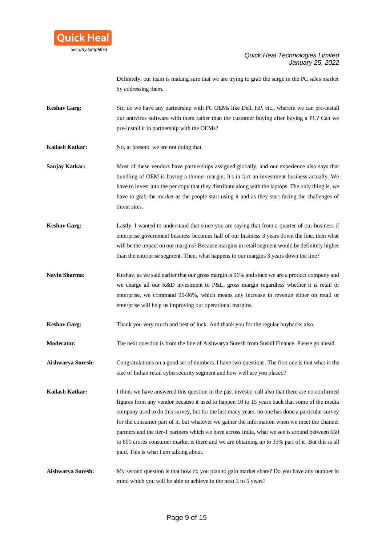

Definitely, our team is making sure that we are trying to grab the surge in the PC sales market by addressing them.

- **Keshav Garg:** Sir, do we have any partnership with PC OEMs like Dell, HP, etc., wherein we can pre-install our antivirus software with them rather than the customer buying after buying a PC? Can we pre-install it in partnership with the OEMs?
- **Kailash Katkar:** No, at present, we are not doing that.
- **Sanjay Katkar:** Most of these vendors have partnerships assigned globally, and our experience also says that bundling of OEM is having a thinner margin. It's in fact an investment business actually. We have to invest into the per copy that they distribute along with the laptops. The only thing is, we have to grab the market as the people start using it and as they start facing the challenges of threat sites.
- **Keshav Garg:** Lastly, I wanted to understand that since you are saying that from a quarter of our business if enterprise government business becomes half of our business 3 years down the line, then what will be the impact on our margins? Because margins in retail segment would be definitely higher than the enterprise segment. Then, what happens to our margins 3 years down the line?
- Navin Sharma: Keshav, as we said earlier that our gross margin is 96% and since we are a product company and we charge all our R&D investment to P&L, gross margin regardless whether it is retail or enterprise, we command 95-96%, which means any increase in revenue either on retail or enterprise will help us improving our operational margins.
- **Keshav Garg:** Thank you very much and best of luck. And thank you for the regular buybacks also.
- **Moderator:** The next question is from the line of Aishwarya Suresh from Sushil Finance. Please go ahead.
- **Aishwarya Suresh:** Congratulations on a good set of numbers. I have two questions. The first one is that what is the size of Indian retail cybersecurity segment and how well are you placed?
- **Kailash Katkar:** I think we have answered this question in the past investor call also that there are no confirmed figures from any vendor because it used to happen 10 to 15 years back that some of the media company used to do this survey, but for the last many years, no one has done a particular survey for the consumer part of it, but whatever we gather the information when we meet the channel partners and the tier-1 partners which we have across India, what we see is around between 650 to 800 crores consumer market is there and we are obtaining up to 35% part of it. But this is all paid. This is what I am talking about.

**Aishwarya Suresh:** My second question is that how do you plan to gain market share? Do you have any number in mind which you will be able to achieve in the next 3 to 5 years?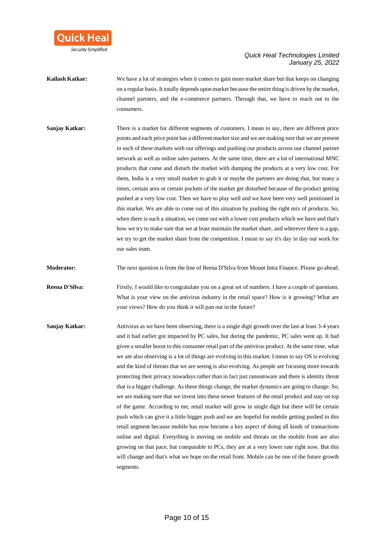

- **Kailash Katkar:** We have a lot of strategies when it comes to gain more market share but that keeps on changing on a regular basis. It totally depends upon market because the entire thing is driven by the market, channel partners, and the e-commerce partners. Through that, we have to reach out to the consumers.
- **Sanjay Katkar:** There is a market for different segments of customers. I mean to say, there are different price points and each price point has a different market size and we are making sure that we are present in each of these markets with our offerings and pushing our products across our channel partner network as well as online sales partners. At the same time, there are a lot of international MNC products that come and disturb the market with dumping the products at a very low cost. For them, India is a very small market to grab it or maybe the partners are doing that, but many a times, certain area or certain pockets of the market get disturbed because of the product getting pushed at a very low cost. Then we have to play well and we have been very well positioned in this market. We are able to come out of this situation by pushing the right mix of products. So, when there is such a situation, we come out with a lower cost products which we have and that's how we try to make sure that we at least maintain the market share, and wherever there is a gap, we try to get the market share from the competition. I mean to say it's day in day out work for our sales team.
- **Moderator:** The next question is from the line of Reena D'Silva from Mount Intra Finance. Please go ahead.
- **Reena D'Silva:** Firstly, I would like to congratulate you on a great set of numbers. I have a couple of questions. What is your view on the antivirus industry in the retail space? How is it growing? What are your views? How do you think it will pan out in the future?
- **Sanjay Katkar:** Antivirus as we have been observing, there is a single digit growth over the last at least 3-4 years and it had earlier got impacted by PC sales, but during the pandemic, PC sales went up. It had given a smaller boost to this consumer retail part of the antivirus product. At the same time, what we are also observing is a lot of things are evolving in this market. I mean to say OS is evolving and the kind of threats that we are seeing is also evolving. As people are focusing more towards protecting their privacy nowadays rather than in fact just ransomware and there is identity threat that is a bigger challenge. As these things change, the market dynamics are going to change. So, we are making sure that we invest into these newer features of the retail product and stay on top of the game. According to me, retail market will grow in single digit but there will be certain push which can give it a little bigger push and we are hopeful for mobile getting pushed in this retail segment because mobile has now become a key aspect of doing all kinds of transactions online and digital. Everything is moving on mobile and threats on the mobile front are also growing on that pace, but comparable to PCs, they are at a very lower rate right now. But this will change and that's what we hope on the retail front. Mobile can be one of the future growth segments.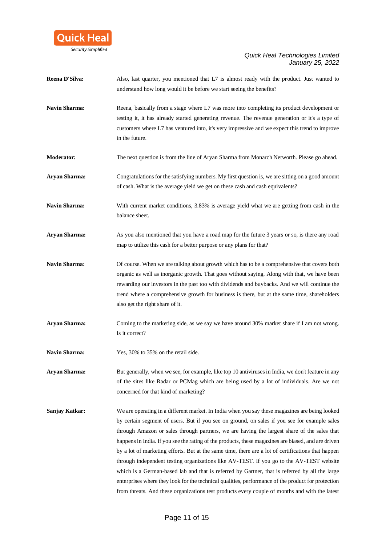

| Reena D'Silva:       | Also, last quarter, you mentioned that L7 is almost ready with the product. Just wanted to<br>understand how long would it be before we start seeing the benefits?                                                                                                                                                                                                                                                                                                                                                                                                                                                                                                                                                                                                                                                                                                                                               |
|----------------------|------------------------------------------------------------------------------------------------------------------------------------------------------------------------------------------------------------------------------------------------------------------------------------------------------------------------------------------------------------------------------------------------------------------------------------------------------------------------------------------------------------------------------------------------------------------------------------------------------------------------------------------------------------------------------------------------------------------------------------------------------------------------------------------------------------------------------------------------------------------------------------------------------------------|
| <b>Navin Sharma:</b> | Reena, basically from a stage where L7 was more into completing its product development or<br>testing it, it has already started generating revenue. The revenue generation or it's a type of<br>customers where L7 has ventured into, it's very impressive and we expect this trend to improve<br>in the future.                                                                                                                                                                                                                                                                                                                                                                                                                                                                                                                                                                                                |
| <b>Moderator:</b>    | The next question is from the line of Aryan Sharma from Monarch Networth. Please go ahead.                                                                                                                                                                                                                                                                                                                                                                                                                                                                                                                                                                                                                                                                                                                                                                                                                       |
| <b>Aryan Sharma:</b> | Congratulations for the satisfying numbers. My first question is, we are sitting on a good amount<br>of cash. What is the average yield we get on these cash and cash equivalents?                                                                                                                                                                                                                                                                                                                                                                                                                                                                                                                                                                                                                                                                                                                               |
| <b>Navin Sharma:</b> | With current market conditions, 3.83% is average yield what we are getting from cash in the<br>balance sheet.                                                                                                                                                                                                                                                                                                                                                                                                                                                                                                                                                                                                                                                                                                                                                                                                    |
| <b>Aryan Sharma:</b> | As you also mentioned that you have a road map for the future 3 years or so, is there any road<br>map to utilize this cash for a better purpose or any plans for that?                                                                                                                                                                                                                                                                                                                                                                                                                                                                                                                                                                                                                                                                                                                                           |
| <b>Navin Sharma:</b> | Of course. When we are talking about growth which has to be a comprehensive that covers both<br>organic as well as inorganic growth. That goes without saying. Along with that, we have been<br>rewarding our investors in the past too with dividends and buybacks. And we will continue the<br>trend where a comprehensive growth for business is there, but at the same time, shareholders<br>also get the right share of it.                                                                                                                                                                                                                                                                                                                                                                                                                                                                                 |
| <b>Aryan Sharma:</b> | Coming to the marketing side, as we say we have around 30% market share if I am not wrong.<br>Is it correct?                                                                                                                                                                                                                                                                                                                                                                                                                                                                                                                                                                                                                                                                                                                                                                                                     |
| <b>Navin Sharma:</b> | Yes, 30% to 35% on the retail side.                                                                                                                                                                                                                                                                                                                                                                                                                                                                                                                                                                                                                                                                                                                                                                                                                                                                              |
| <b>Aryan Sharma:</b> | But generally, when we see, for example, like top 10 antiviruses in India, we don't feature in any<br>of the sites like Radar or PCMag which are being used by a lot of individuals. Are we not<br>concerned for that kind of marketing?                                                                                                                                                                                                                                                                                                                                                                                                                                                                                                                                                                                                                                                                         |
| Sanjay Katkar:       | We are operating in a different market. In India when you say these magazines are being looked<br>by certain segment of users. But if you see on ground, on sales if you see for example sales<br>through Amazon or sales through partners, we are having the largest share of the sales that<br>happens in India. If you see the rating of the products, these magazines are biased, and are driven<br>by a lot of marketing efforts. But at the same time, there are a lot of certifications that happen<br>through independent testing organizations like AV-TEST. If you go to the AV-TEST website<br>which is a German-based lab and that is referred by Gartner, that is referred by all the large<br>enterprises where they look for the technical qualities, performance of the product for protection<br>from threats. And these organizations test products every couple of months and with the latest |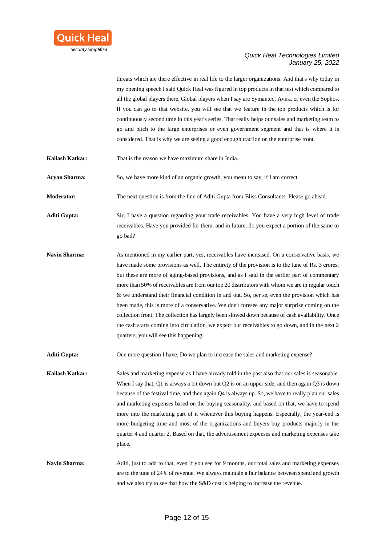

threats which are there effective in real life to the larger organizations. And that's why today in my opening speech I said Quick Heal was figured in top products in that test which compared to all the global players there. Global players when I say are Symantec, Avira, or even the Sophos. If you can go to that website, you will see that we feature in the top products which is for continuously second time in this year's series. That really helps our sales and marketing team to go and pitch to the large enterprises or even government segment and that is where it is considered. That is why we are seeing a good enough traction on the enterprise front.

**Kailash Katkar:** That is the reason we have maximum share in India.

**Aryan Sharma:** So, we have more kind of an organic growth, you mean to say, if I am correct.

**Moderator:** The next question is from the line of Aditi Gupta from Bliss Consultants. Please go ahead.

**Aditi Gupta:** Sir, I have a question regarding your trade receivables. You have a very high level of trade receivables. Have you provided for them, and in future, do you expect a portion of the same to go bad?

**Navin Sharma:** As mentioned in my earlier part, yes, receivables have increased. On a conservative basis, we have made some provisions as well. The entirety of the provision is to the tune of Rs. 3 crores, but these are more of aging-based provisions, and as I said in the earlier part of commentary more than 50% of receivables are from our top 20 distributors with whom we are in regular touch & we understand their financial condition in and out. So, per se, even the provision which has been made, this is more of a conservative. We don't foresee any major surprise coming on the collection front. The collection has largely been slowed down because of cash availability. Once the cash starts coming into circulation, we expect our receivables to go down, and in the next 2 quarters, you will see this happening.

**Aditi Gupta:** One more question I have. Do we plan to increase the sales and marketing expense?

**Kailash Katkar:** Sales and marketing expense as I have already told in the past also that our sales is seasonable. When I say that, Q1 is always a bit down but Q2 is on an upper side, and then again Q3 is down because of the festival time, and then again Q4 is always up. So, we have to really plan our sales and marketing expenses based on the buying seasonality, and based on that, we have to spend more into the marketing part of it whenever this buying happens. Especially, the year-end is more budgeting time and most of the organizations and buyers buy products majorly in the quarter 4 and quarter 2. Based on that, the advertisement expenses and marketing expenses take place.

**Navin Sharma:** Aditi, just to add to that, even if you see for 9 months, our total sales and marketing expenses are to the tune of 24% of revenue. We always maintain a fair balance between spend and growth and we also try to see that how the S&D cost is helping to increase the revenue.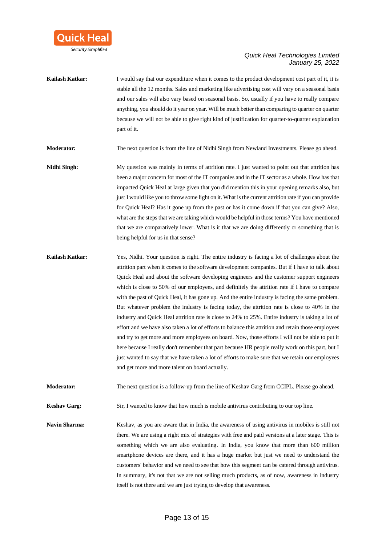

**Kailash Katkar:** I would say that our expenditure when it comes to the product development cost part of it, it is stable all the 12 months. Sales and marketing like advertising cost will vary on a seasonal basis and our sales will also vary based on seasonal basis. So, usually if you have to really compare anything, you should do it year on year. Will be much better than comparing to quarter on quarter because we will not be able to give right kind of justification for quarter-to-quarter explanation part of it.

**Moderator:** The next question is from the line of Nidhi Singh from Newland Investments. Please go ahead.

**Nidhi Singh:** My question was mainly in terms of attrition rate. I just wanted to point out that attrition has been a major concern for most of the IT companies and in the IT sector as a whole. How has that impacted Quick Heal at large given that you did mention this in your opening remarks also, but just I would like you to throw some light on it. What is the current attrition rate if you can provide for Quick Heal? Has it gone up from the past or has it come down if that you can give? Also, what are the steps that we are taking which would be helpful in those terms? You have mentioned that we are comparatively lower. What is it that we are doing differently or something that is being helpful for us in that sense?

**Kailash Katkar:** Yes, Nidhi. Your question is right. The entire industry is facing a lot of challenges about the attrition part when it comes to the software development companies. But if I have to talk about Quick Heal and about the software developing engineers and the customer support engineers which is close to 50% of our employees, and definitely the attrition rate if I have to compare with the past of Quick Heal, it has gone up. And the entire industry is facing the same problem. But whatever problem the industry is facing today, the attrition rate is close to 40% in the industry and Quick Heal attrition rate is close to 24% to 25%. Entire industry is taking a lot of effort and we have also taken a lot of efforts to balance this attrition and retain those employees and try to get more and more employees on board. Now, those efforts I will not be able to put it here because I really don't remember that part because HR people really work on this part, but I just wanted to say that we have taken a lot of efforts to make sure that we retain our employees and get more and more talent on board actually.

**Moderator:** The next question is a follow-up from the line of Keshav Garg from CCIPL. Please go ahead.

**Keshav Garg:** Sir, I wanted to know that how much is mobile antivirus contributing to our top line.

Navin Sharma: Keshav, as you are aware that in India, the awareness of using antivirus in mobiles is still not there. We are using a right mix of strategies with free and paid versions at a later stage. This is something which we are also evaluating. In India, you know that more than 600 million smartphone devices are there, and it has a huge market but just we need to understand the customers' behavior and we need to see that how this segment can be catered through antivirus. In summary, it's not that we are not selling much products, as of now, awareness in industry itself is not there and we are just trying to develop that awareness.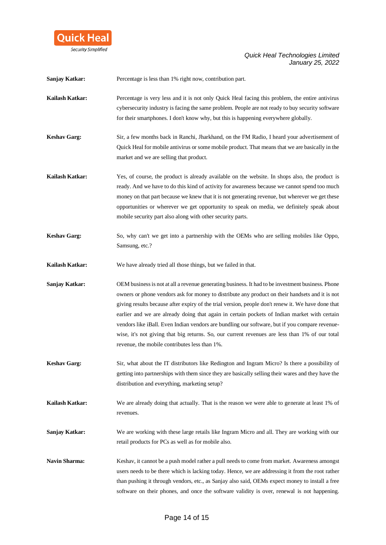

**Sanjay Katkar:** Percentage is less than 1% right now, contribution part.

- **Kailash Katkar:** Percentage is very less and it is not only Quick Heal facing this problem, the entire antivirus cybersecurity industry is facing the same problem. People are not ready to buy security software for their smartphones. I don't know why, but this is happening everywhere globally.
- **Keshav Garg:** Sir, a few months back in Ranchi, Jharkhand, on the FM Radio, I heard your advertisement of Quick Heal for mobile antivirus or some mobile product. That means that we are basically in the market and we are selling that product.
- **Kailash Katkar:** Yes, of course, the product is already available on the website. In shops also, the product is ready. And we have to do this kind of activity for awareness because we cannot spend too much money on that part because we knew that it is not generating revenue, but wherever we get these opportunities or wherever we get opportunity to speak on media, we definitely speak about mobile security part also along with other security parts.
- **Keshav Garg:** So, why can't we get into a partnership with the OEMs who are selling mobiles like Oppo, Samsung, etc.?

**Kailash Katkar:** We have already tried all those things, but we failed in that.

- **Sanjay Katkar:** OEM business is not at all a revenue generating business. It had to be investment business. Phone owners or phone vendors ask for money to distribute any product on their handsets and it is not giving results because after expiry of the trial version, people don't renew it. We have done that earlier and we are already doing that again in certain pockets of Indian market with certain vendors like iBall. Even Indian vendors are bundling our software, but if you compare revenuewise, it's not giving that big returns. So, our current revenues are less than 1% of our total revenue, the mobile contributes less than 1%.
- **Keshav Garg:** Sir, what about the IT distributors like Redington and Ingram Micro? Is there a possibility of getting into partnerships with them since they are basically selling their wares and they have the distribution and everything, marketing setup?
- **Kailash Katkar:** We are already doing that actually. That is the reason we were able to generate at least 1% of revenues.
- **Sanjay Katkar:** We are working with these large retails like Ingram Micro and all. They are working with our retail products for PCs as well as for mobile also.
- **Navin Sharma:** Keshav, it cannot be a push model rather a pull needs to come from market. Awareness amongst users needs to be there which is lacking today. Hence, we are addressing it from the root rather than pushing it through vendors, etc., as Sanjay also said, OEMs expect money to install a free software on their phones, and once the software validity is over, renewal is not happening.